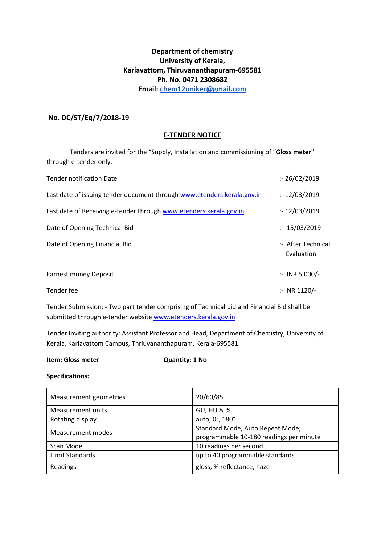# **Department of chemistry University of Kerala, Kariavattom, Thiruvananthapuram-695581 Ph. No. 0471 2308682 Email: [chem12uniker@gmail.com](mailto:chem12uniker@gmail.com)**

# **No. DC/ST/Eq/7/2018-19**

### **E-TENDER NOTICE**

Tenders are invited for the "Supply, Installation and commissioning of "**Gloss meter**" through e-tender only.

| <b>Tender notification Date</b>                                         | : 26/02/2019                     |
|-------------------------------------------------------------------------|----------------------------------|
| Last date of issuing tender document through www.etenders.kerala.gov.in | : 12/03/2019                     |
| Last date of Receiving e-tender through www.etenders.kerala.gov.in      | : 12/03/2019                     |
| Date of Opening Technical Bid                                           | : 15/03/2019                     |
| Date of Opening Financial Bid                                           | :- After Technical<br>Evaluation |
| <b>Earnest money Deposit</b>                                            | $:$ INR 5,000/-                  |
| Tender fee                                                              | :- INR 1120/-                    |

Tender Submission: - Two part tender comprising of Technical bid and Financial Bid shall be submitted through e-tender websit[e www.etenders.kerala.gov.in](http://www.etenders.kerala.gov.in/)

Tender Inviting authority: Assistant Professor and Head, Department of Chemistry, University of Kerala, Kariavattom Campus, Thriuvananthapuram, Kerala-695581.

#### **Item: Gloss meter Cuantity: 1 No**

#### **Specifications:**

| Measurement geometries | 20/60/85°                                                                   |
|------------------------|-----------------------------------------------------------------------------|
| Measurement units      | <b>GU, HU &amp; %</b>                                                       |
| Rotating display       | auto, 0°, 180°                                                              |
| Measurement modes      | Standard Mode, Auto Repeat Mode;<br>programmable 10-180 readings per minute |
| Scan Mode              | 10 readings per second                                                      |
| Limit Standards        | up to 40 programmable standards                                             |
| Readings               | gloss, % reflectance, haze                                                  |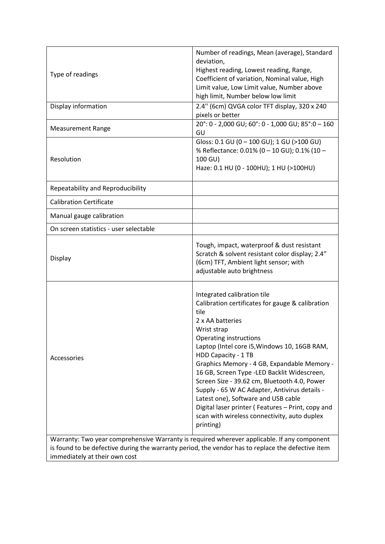| Type of readings                                                                                                                                                                                                | Number of readings, Mean (average), Standard<br>deviation,<br>Highest reading, Lowest reading, Range,<br>Coefficient of variation, Nominal value, High<br>Limit value, Low Limit value, Number above<br>high limit, Number below low limit                                                                                                                                                                                                                                                                                                                                                 |
|-----------------------------------------------------------------------------------------------------------------------------------------------------------------------------------------------------------------|--------------------------------------------------------------------------------------------------------------------------------------------------------------------------------------------------------------------------------------------------------------------------------------------------------------------------------------------------------------------------------------------------------------------------------------------------------------------------------------------------------------------------------------------------------------------------------------------|
| Display information                                                                                                                                                                                             | 2.4" (6cm) QVGA color TFT display, 320 x 240<br>pixels or better                                                                                                                                                                                                                                                                                                                                                                                                                                                                                                                           |
| <b>Measurement Range</b>                                                                                                                                                                                        | 20°: 0 - 2,000 GU; 60°: 0 - 1,000 GU; 85°: 0 - 160<br>GU                                                                                                                                                                                                                                                                                                                                                                                                                                                                                                                                   |
| Resolution                                                                                                                                                                                                      | Gloss: 0.1 GU (0 - 100 GU); 1 GU (>100 GU)<br>% Reflectance: 0.01% (0 - 10 GU); 0.1% (10 -<br>100 GU)<br>Haze: 0.1 HU (0 - 100HU); 1 HU (>100HU)                                                                                                                                                                                                                                                                                                                                                                                                                                           |
| Repeatability and Reproducibility                                                                                                                                                                               |                                                                                                                                                                                                                                                                                                                                                                                                                                                                                                                                                                                            |
| <b>Calibration Certificate</b>                                                                                                                                                                                  |                                                                                                                                                                                                                                                                                                                                                                                                                                                                                                                                                                                            |
| Manual gauge calibration                                                                                                                                                                                        |                                                                                                                                                                                                                                                                                                                                                                                                                                                                                                                                                                                            |
| On screen statistics - user selectable                                                                                                                                                                          |                                                                                                                                                                                                                                                                                                                                                                                                                                                                                                                                                                                            |
| Display                                                                                                                                                                                                         | Tough, impact, waterproof & dust resistant<br>Scratch & solvent resistant color display; 2.4"<br>(6cm) TFT, Ambient light sensor; with<br>adjustable auto brightness                                                                                                                                                                                                                                                                                                                                                                                                                       |
| Accessories<br>Warranty: Two year comprehensive Warranty is required wherever applicable. If any component<br>is found to be defective during the warranty period, the vendor has to replace the defective item | Integrated calibration tile<br>Calibration certificates for gauge & calibration<br>tile<br>2 x AA batteries<br>Wrist strap<br><b>Operating instructions</b><br>Laptop (Intel core i5, Windows 10, 16GB RAM,<br>HDD Capacity - 1 TB<br>Graphics Memory - 4 GB, Expandable Memory -<br>16 GB, Screen Type -LED Backlit Widescreen,<br>Screen Size - 39.62 cm, Bluetooth 4.0, Power<br>Supply - 65 W AC Adapter, Antivirus details -<br>Latest one), Software and USB cable<br>Digital laser printer (Features - Print, copy and<br>scan with wireless connectivity, auto duplex<br>printing) |

immediately at their own cost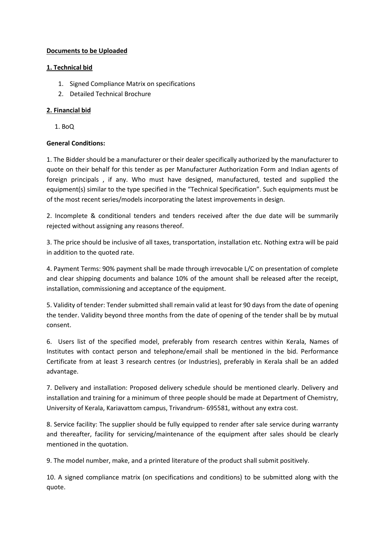# **Documents to be Uploaded**

### **1. Technical bid**

- 1. Signed Compliance Matrix on specifications
- 2. Detailed Technical Brochure

# **2. Financial bid**

1. BoQ

# **General Conditions:**

1. The Bidder should be a manufacturer or their dealer specifically authorized by the manufacturer to quote on their behalf for this tender as per Manufacturer Authorization Form and Indian agents of foreign principals , if any. Who must have designed, manufactured, tested and supplied the equipment(s) similar to the type specified in the "Technical Specification". Such equipments must be of the most recent series/models incorporating the latest improvements in design.

2. Incomplete & conditional tenders and tenders received after the due date will be summarily rejected without assigning any reasons thereof.

3. The price should be inclusive of all taxes, transportation, installation etc. Nothing extra will be paid in addition to the quoted rate.

4. Payment Terms: 90% payment shall be made through irrevocable L/C on presentation of complete and clear shipping documents and balance 10% of the amount shall be released after the receipt, installation, commissioning and acceptance of the equipment.

5. Validity of tender: Tender submitted shall remain valid at least for 90 days from the date of opening the tender. Validity beyond three months from the date of opening of the tender shall be by mutual consent.

6. Users list of the specified model, preferably from research centres within Kerala, Names of Institutes with contact person and telephone/email shall be mentioned in the bid. Performance Certificate from at least 3 research centres (or Industries), preferably in Kerala shall be an added advantage.

7. Delivery and installation: Proposed delivery schedule should be mentioned clearly. Delivery and installation and training for a minimum of three people should be made at Department of Chemistry, University of Kerala, Kariavattom campus, Trivandrum- 695581, without any extra cost.

8. Service facility: The supplier should be fully equipped to render after sale service during warranty and thereafter, facility for servicing/maintenance of the equipment after sales should be clearly mentioned in the quotation.

9. The model number, make, and a printed literature of the product shall submit positively.

10. A signed compliance matrix (on specifications and conditions) to be submitted along with the quote.